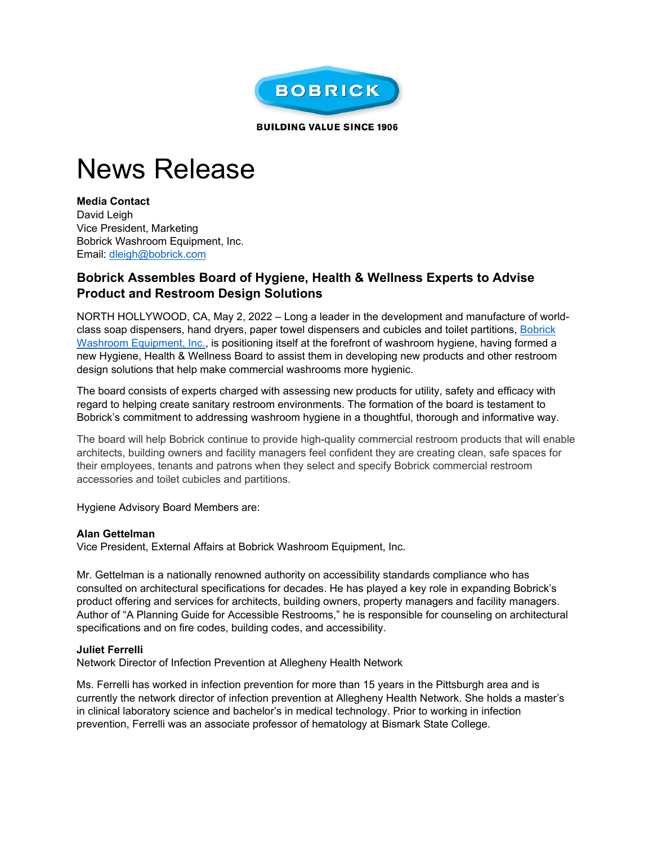

**BUILDING VALUE SINCE 1906** 

# News Release

**Media Contact** David Leigh Vice President, Marketing Bobrick Washroom Equipment, Inc. Email: [dleigh@bobrick.com](mailto:dleigh@bobrick.com) 

## **Bobrick Assembles Board of Hygiene, Health & Wellness Experts to Advise Product and Restroom Design Solutions**

NORTH HOLLYWOOD, CA, May 2, 2022 – Long a leader in the development and manufacture of worldclass soap dispensers, hand dryers, paper towel dispensers and cubicles and toilet partitions, [Bobrick](https://www.bobrick.com/?utm_source=earned&utm_medium=release&utm_campaign=PGAR_020122)  [Washroom Equipment, Inc.,](https://www.bobrick.com/?utm_source=earned&utm_medium=release&utm_campaign=PGAR_020122) is positioning itself at the forefront of washroom hygiene, having formed a new Hygiene, Health & Wellness Board to assist them in developing new products and other restroom design solutions that help make commercial washrooms more hygienic.

The board consists of experts charged with assessing new products for utility, safety and efficacy with regard to helping create sanitary restroom environments. The formation of the board is testament to Bobrick's commitment to addressing washroom hygiene in a thoughtful, thorough and informative way.

The board will help Bobrick continue to provide high-quality commercial restroom products that will enable architects, building owners and facility managers feel confident they are creating clean, safe spaces for their employees, tenants and patrons when they select and specify Bobrick commercial restroom accessories and toilet cubicles and partitions.

Hygiene Advisory Board Members are:

## **Alan Gettelman**

Vice President, External Affairs at Bobrick Washroom Equipment, Inc.

Mr. Gettelman is a nationally renowned authority on accessibility standards compliance who has consulted on architectural specifications for decades. He has played a key role in expanding Bobrick's product offering and services for architects, building owners, property managers and facility managers. Author of "A Planning Guide for Accessible Restrooms," he is responsible for counseling on architectural specifications and on fire codes, building codes, and accessibility.

## **Juliet Ferrelli**

Network Director of Infection Prevention at Allegheny Health Network

Ms. Ferrelli has worked in infection prevention for more than 15 years in the Pittsburgh area and is currently the network director of infection prevention at Allegheny Health Network. She holds a master's in clinical laboratory science and bachelor's in medical technology. Prior to working in infection prevention, Ferrelli was an associate professor of hematology at Bismark State College.